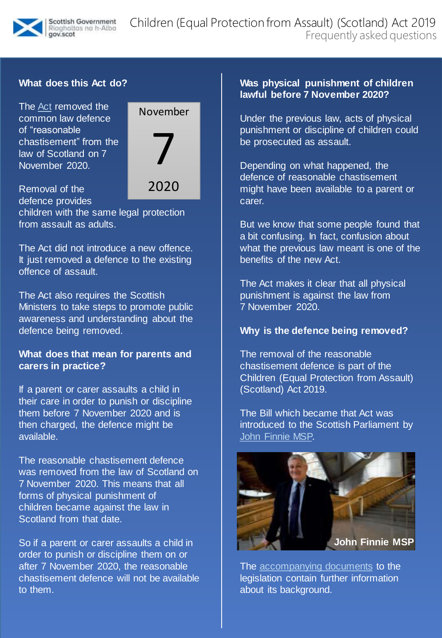

# **What does this Act do?**

The [Act](https://www.legislation.gov.uk/asp/2019/16/enacted) removed the common law defence of "reasonable chastisement" from the law of Scotland on 7 November 2020.



Removal of the defence provides children with the same legal protection from assault as adults. 2020

The Act did not introduce a new offence. It just removed a defence to the existing offence of assault.

The Act also requires the Scottish Ministers to take steps to promote public awareness and understanding about the defence being removed.

### **What does that mean for parents and carers in practice?**

If a parent or carer assaults a child in their care in order to punish or discipline them before 7 November 2020 and is then charged, the defence might be available.

The reasonable chastisement defence was removed from the law of Scotland on 7 November 2020. This means that all forms of physical punishment of children became against the law in Scotland from that date.

So if a parent or carer assaults a child in order to punish or discipline them on or after 7 November 2020, the reasonable chastisement defence will not be available to them.

### **Was physical punishment of children lawful before 7 November 2020?**

Under the previous law, acts of physical punishment or discipline of children could be prosecuted as assault.

Depending on what happened, the defence of reasonable chastisement might have been available to a parent or carer.

But we know that some people found that a bit confusing. In fact, confusion about what the previous law meant is one of the benefits of the new Act.

The Act makes it clear that all physical punishment is against the law from 7 November 2020.

#### **Why is the defence being removed?**

The removal of the reasonable chastisement defence is part of the Children (Equal Protection from Assault) (Scotland) Act 2019.

The Bill which became that Act was introduced to the Scottish Parliament by [John Finnie MSP.](https://www.parliament.scot/msps/currentmsps/john-finnie-msp.aspx)



The [accompanying documents](https://beta.parliament.scot/bills/children-equal-protection-from-assault-scotland-bill) to the legislation contain further information about its background.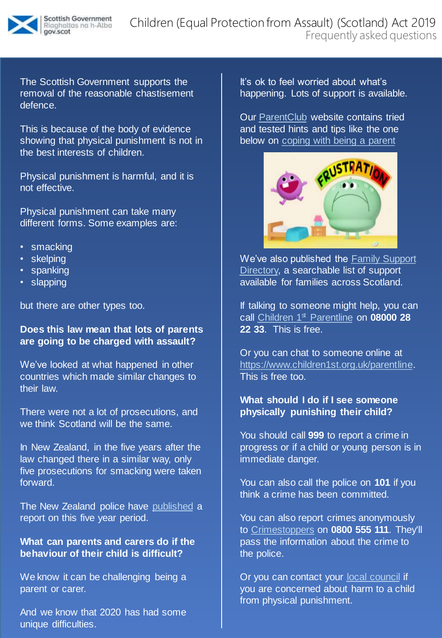

The Scottish Government supports the removal of the reasonable chastisement defence.

This is because of the body of evidence showing that physical punishment is not in the best interests of children.

Physical punishment is harmful, and it is not effective.

Physical punishment can take many different forms. Some examples are:

- smacking
- skelping
- spanking
- slapping

but there are other types too.

# **Does this law mean that lots of parents are going to be charged with assault?**

We've looked at what happened in other countries which made similar changes to their law.

There were not a lot of prosecutions, and we think Scotland will be the same.

In New Zealand, in the five years after the law changed there in a similar way, only five prosecutions for smacking were taken forward.

The New Zealand police have [published](https://www.police.govt.nz/sites/default/files/resources/other-reports/11th-review-section-59.pdf) a report on this five year period.

# **What can parents and carers do if the behaviour of their child is difficult?**

We know it can be challenging being a parent or carer.

And we know that 2020 has had some unique difficulties.

It's ok to feel worried about what's happening. Lots of support is available.

Our [ParentClub](https://www.parentclub.scot/) website contains tried and tested hints and tips like the one below on [coping with being a parent](https://www.parentclub.scot/topics/behaviour/coping-with-parenting?age=3)



We've also published the Family Support [Directory, a searchable list of support](https://www.parentclub.scot/family-support-directory?age=2)  available for families across Scotland.

If talking to someone might help, you can call [Children 1](https://www.children1st.org.uk/help-for-families/parentline-scotland/)st Parentline on **08000 28 22 33**. This is free.

Or you can chat to someone online at [https://www.children1st.org.uk/parentline.](https://www.children1st.org.uk/parentline) This is free too.

# **What should I do if I see someone physically punishing their child?**

You should call **999** to report a crime in progress or if a child or young person is in immediate danger.

You can also call the police on **101** if you think a crime has been committed.

You can also report crimes anonymously to [Crimestoppers](https://crimestoppers-uk.org/give-information/give-information-online/) on **0800 555 111**. They'll pass the information about the crime to the police.

Or you can contact your [local council](https://www.cosla.gov.uk/councils) if you are concerned about harm to a child from physical punishment.